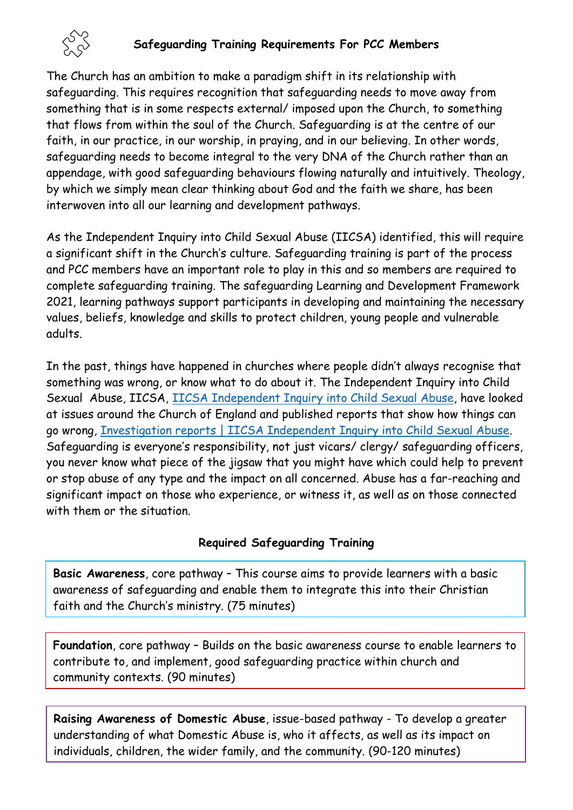

### **Safeguarding Training Requirements For PCC Members**

The Church has an ambition to make a paradigm shift in its relationship with safeguarding. This requires recognition that safeguarding needs to move away from something that is in some respects external/ imposed upon the Church, to something that flows from within the soul of the Church. Safeguarding is at the centre of our faith, in our practice, in our worship, in praying, and in our believing. In other words, safeguarding needs to become integral to the very DNA of the Church rather than an appendage, with good safeguarding behaviours flowing naturally and intuitively. Theology, by which we simply mean clear thinking about God and the faith we share, has been interwoven into all our learning and development pathways.

As the Independent Inquiry into Child Sexual Abuse (IICSA) identified, this will require a significant shift in the Church's culture. Safeguarding training is part of the process and PCC members have an important role to play in this and so members are required to complete safeguarding training. The safeguarding Learning and Development Framework 2021, learning pathways support participants in developing and maintaining the necessary values, beliefs, knowledge and skills to protect children, young people and vulnerable adults.

In the past, things have happened in churches where people didn't always recognise that something was wrong, or know what to do about it. The Independent Inquiry into Child Sexual Abuse, IICSA, [IICSA Independent Inquiry into Child Sexual Abuse,](https://www.iicsa.org.uk/) have looked at issues around the Church of England and published reports that show how things can go wrong, [Investigation reports | IICSA Independent Inquiry into Child Sexual Abuse.](https://www.iicsa.org.uk/reports-recommendations/publications/investigation) Safeguarding is everyone's responsibility, not just vicars/ clergy/ safeguarding officers, you never know what piece of the jigsaw that you might have which could help to prevent or stop abuse of any type and the impact on all concerned. Abuse has a far-reaching and significant impact on those who experience, or witness it, as well as on those connected with them or the situation.

### **Required Safeguarding Training**

**Basic Awareness**, core pathway – This course aims to provide learners with a basic awareness of safeguarding and enable them to integrate this into their Christian faith and the Church's ministry. (75 minutes)

**Foundation**, core pathway – Builds on the basic awareness course to enable learners to contribute to, and implement, good safeguarding practice within church and community contexts. (90 minutes)

**Raising Awareness of Domestic Abuse**, issue-based pathway - To develop a greater understanding of what Domestic Abuse is, who it affects, as well as its impact on individuals, children, the wider family, and the community. (90-120 minutes)